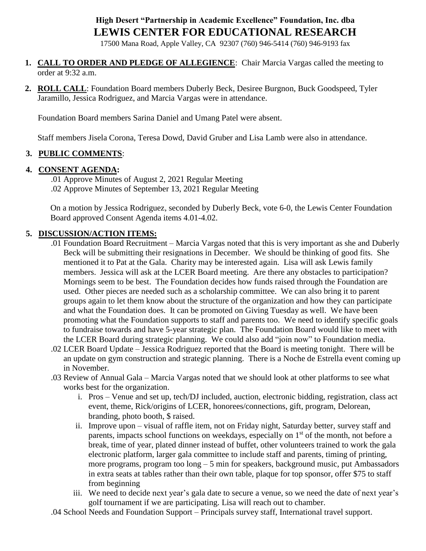# **High Desert "Partnership in Academic Excellence" Foundation, Inc. dba LEWIS CENTER FOR EDUCATIONAL RESEARCH**

17500 Mana Road, Apple Valley, CA 92307 (760) 946-5414 (760) 946-9193 fax

- **1. CALL TO ORDER AND PLEDGE OF ALLEGIENCE**: Chair Marcia Vargas called the meeting to order at 9:32 a.m.
- **2. ROLL CALL**: Foundation Board members Duberly Beck, Desiree Burgnon, Buck Goodspeed, Tyler Jaramillo, Jessica Rodriguez, and Marcia Vargas were in attendance.

Foundation Board members Sarina Daniel and Umang Patel were absent.

Staff members Jisela Corona, Teresa Dowd, David Gruber and Lisa Lamb were also in attendance.

### **3. PUBLIC COMMENTS**:

### **4. CONSENT AGENDA:**

.01 Approve Minutes of August 2, 2021 Regular Meeting .02 Approve Minutes of September 13, 2021 Regular Meeting

On a motion by Jessica Rodriguez, seconded by Duberly Beck, vote 6-0, the Lewis Center Foundation Board approved Consent Agenda items 4.01-4.02.

### **5. DISCUSSION/ACTION ITEMS:**

- .01 Foundation Board Recruitment Marcia Vargas noted that this is very important as she and Duberly Beck will be submitting their resignations in December. We should be thinking of good fits. She mentioned it to Pat at the Gala. Charity may be interested again. Lisa will ask Lewis family members. Jessica will ask at the LCER Board meeting. Are there any obstacles to participation? Mornings seem to be best. The Foundation decides how funds raised through the Foundation are used. Other pieces are needed such as a scholarship committee. We can also bring it to parent groups again to let them know about the structure of the organization and how they can participate and what the Foundation does. It can be promoted on Giving Tuesday as well. We have been promoting what the Foundation supports to staff and parents too. We need to identify specific goals to fundraise towards and have 5-year strategic plan. The Foundation Board would like to meet with the LCER Board during strategic planning. We could also add "join now" to Foundation media.
- .02 LCER Board Update Jessica Rodriguez reported that the Board is meeting tonight. There will be an update on gym construction and strategic planning. There is a Noche de Estrella event coming up in November.
- .03 Review of Annual Gala Marcia Vargas noted that we should look at other platforms to see what works best for the organization.
	- i. Pros Venue and set up, tech/DJ included, auction, electronic bidding, registration, class act event, theme, Rick/origins of LCER, honorees/connections, gift, program, Delorean, branding, photo booth, \$ raised.
	- ii. Improve upon visual of raffle item, not on Friday night, Saturday better, survey staff and parents, impacts school functions on weekdays, especially on  $1<sup>st</sup>$  of the month, not before a break, time of year, plated dinner instead of buffet, other volunteers trained to work the gala electronic platform, larger gala committee to include staff and parents, timing of printing, more programs, program too long – 5 min for speakers, background music, put Ambassadors in extra seats at tables rather than their own table, plaque for top sponsor, offer \$75 to staff from beginning
	- iii. We need to decide next year's gala date to secure a venue, so we need the date of next year's golf tournament if we are participating. Lisa will reach out to chamber.

.04 School Needs and Foundation Support – Principals survey staff, International travel support.